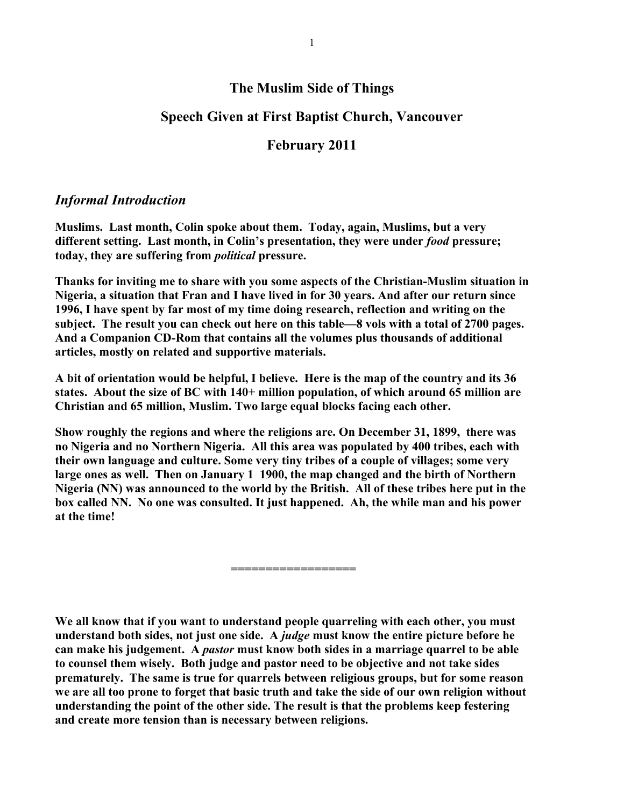## **The Muslim Side of Things**

## **Speech Given at First Baptist Church, Vancouver**

## **February 2011**

## *Informal Introduction*

**Muslims. Last month, Colin spoke about them. Today, again, Muslims, but a very different setting. Last month, in Colin's presentation, they were under** *food* **pressure; today, they are suffering from** *political* **pressure.**

**Thanks for inviting me to share with you some aspects of the Christian-Muslim situation in Nigeria, a situation that Fran and I have lived in for 30 years. And after our return since 1996, I have spent by far most of my time doing research, reflection and writing on the subject. The result you can check out here on this table—8 vols with a total of 2700 pages. And a Companion CD-Rom that contains all the volumes plus thousands of additional articles, mostly on related and supportive materials.** 

**A bit of orientation would be helpful, I believe. Here is the map of the country and its 36 states. About the size of BC with 140+ million population, of which around 65 million are Christian and 65 million, Muslim. Two large equal blocks facing each other.** 

**Show roughly the regions and where the religions are. On December 31, 1899, there was no Nigeria and no Northern Nigeria. All this area was populated by 400 tribes, each with their own language and culture. Some very tiny tribes of a couple of villages; some very large ones as well. Then on January 1 1900, the map changed and the birth of Northern Nigeria (NN) was announced to the world by the British. All of these tribes here put in the box called NN. No one was consulted. It just happened. Ah, the while man and his power at the time!**

**==================**

**We all know that if you want to understand people quarreling with each other, you must understand both sides, not just one side. A** *judge* **must know the entire picture before he can make his judgement. A** *pastor* **must know both sides in a marriage quarrel to be able to counsel them wisely. Both judge and pastor need to be objective and not take sides prematurely. The same is true for quarrels between religious groups, but for some reason we are all too prone to forget that basic truth and take the side of our own religion without understanding the point of the other side. The result is that the problems keep festering and create more tension than is necessary between religions.**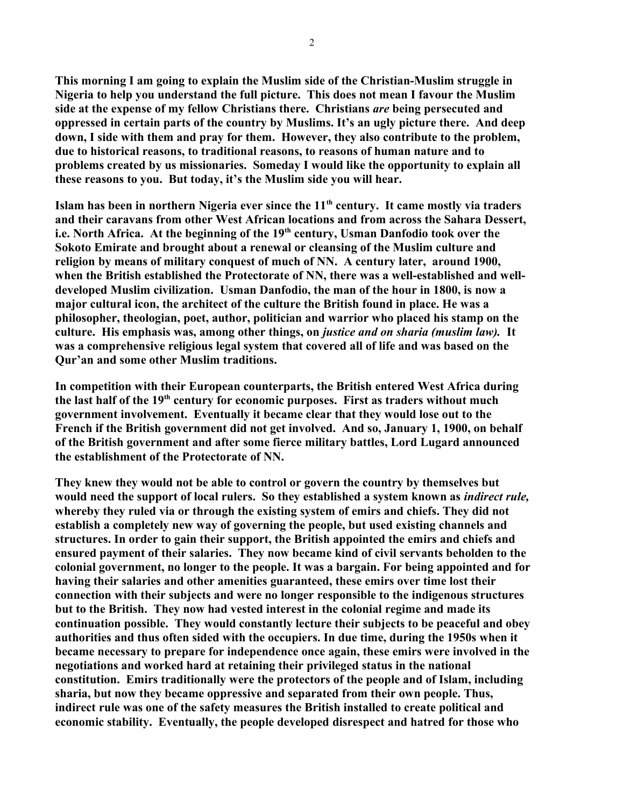**This morning I am going to explain the Muslim side of the Christian-Muslim struggle in Nigeria to help you understand the full picture. This does not mean I favour the Muslim side at the expense of my fellow Christians there. Christians** *are* **being persecuted and oppressed in certain parts of the country by Muslims. It's an ugly picture there. And deep down, I side with them and pray for them. However, they also contribute to the problem, due to historical reasons, to traditional reasons, to reasons of human nature and to problems created by us missionaries. Someday I would like the opportunity to explain all these reasons to you. But today, it's the Muslim side you will hear.**

**Islam has been in northern Nigeria ever since the 11th century. It came mostly via traders and their caravans from other West African locations and from across the Sahara Dessert, i.e. North Africa. At the beginning of the 19th century, Usman Danfodio took over the Sokoto Emirate and brought about a renewal or cleansing of the Muslim culture and religion by means of military conquest of much of NN. A century later, around 1900, when the British established the Protectorate of NN, there was a well-established and welldeveloped Muslim civilization. Usman Danfodio, the man of the hour in 1800, is now a major cultural icon, the architect of the culture the British found in place. He was a philosopher, theologian, poet, author, politician and warrior who placed his stamp on the culture. His emphasis was, among other things, on** *justice and on sharia (muslim law).* **It was a comprehensive religious legal system that covered all of life and was based on the Qur'an and some other Muslim traditions.** 

**In competition with their European counterparts, the British entered West Africa during the last half of the 19th century for economic purposes. First as traders without much government involvement. Eventually it became clear that they would lose out to the French if the British government did not get involved. And so, January 1, 1900, on behalf of the British government and after some fierce military battles, Lord Lugard announced the establishment of the Protectorate of NN.**

**They knew they would not be able to control or govern the country by themselves but would need the support of local rulers. So they established a system known as** *indirect rule,* **whereby they ruled via or through the existing system of emirs and chiefs. They did not establish a completely new way of governing the people, but used existing channels and structures. In order to gain their support, the British appointed the emirs and chiefs and ensured payment of their salaries. They now became kind of civil servants beholden to the colonial government, no longer to the people. It was a bargain. For being appointed and for having their salaries and other amenities guaranteed, these emirs over time lost their connection with their subjects and were no longer responsible to the indigenous structures but to the British. They now had vested interest in the colonial regime and made its continuation possible. They would constantly lecture their subjects to be peaceful and obey authorities and thus often sided with the occupiers. In due time, during the 1950s when it became necessary to prepare for independence once again, these emirs were involved in the negotiations and worked hard at retaining their privileged status in the national constitution. Emirs traditionally were the protectors of the people and of Islam, including sharia, but now they became oppressive and separated from their own people. Thus, indirect rule was one of the safety measures the British installed to create political and economic stability. Eventually, the people developed disrespect and hatred for those who**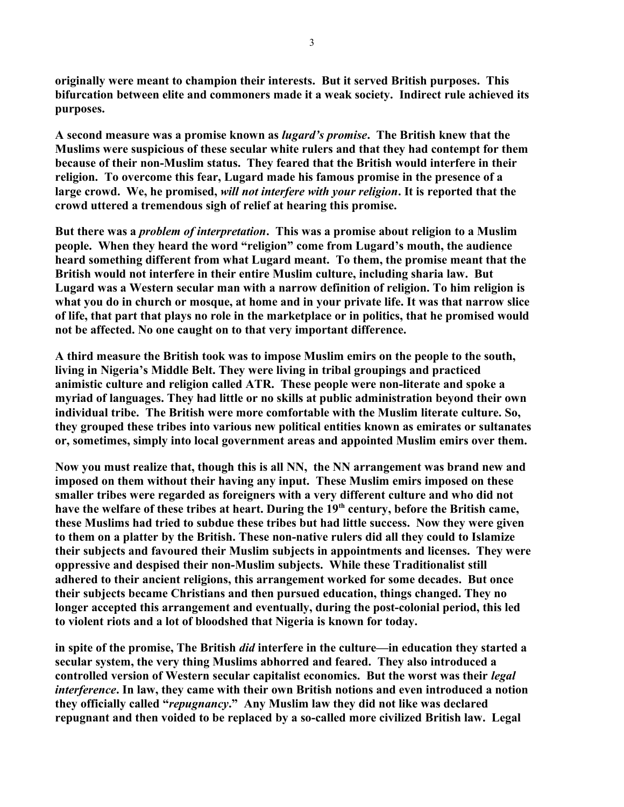**originally were meant to champion their interests. But it served British purposes. This bifurcation between elite and commoners made it a weak society. Indirect rule achieved its purposes.**

**A second measure was a promise known as** *lugard's promise***. The British knew that the Muslims were suspicious of these secular white rulers and that they had contempt for them because of their non-Muslim status. They feared that the British would interfere in their religion. To overcome this fear, Lugard made his famous promise in the presence of a large crowd. We, he promised,** *will not interfere with your religion***. It is reported that the crowd uttered a tremendous sigh of relief at hearing this promise.** 

**But there was a** *problem of interpretation***. This was a promise about religion to a Muslim people. When they heard the word "religion" come from Lugard's mouth, the audience heard something different from what Lugard meant. To them, the promise meant that the British would not interfere in their entire Muslim culture, including sharia law. But Lugard was a Western secular man with a narrow definition of religion. To him religion is what you do in church or mosque, at home and in your private life. It was that narrow slice of life, that part that plays no role in the marketplace or in politics, that he promised would not be affected. No one caught on to that very important difference.**

**A third measure the British took was to impose Muslim emirs on the people to the south, living in Nigeria's Middle Belt. They were living in tribal groupings and practiced animistic culture and religion called ATR. These people were non-literate and spoke a myriad of languages. They had little or no skills at public administration beyond their own individual tribe. The British were more comfortable with the Muslim literate culture. So, they grouped these tribes into various new political entities known as emirates or sultanates or, sometimes, simply into local government areas and appointed Muslim emirs over them.** 

**Now you must realize that, though this is all NN, the NN arrangement was brand new and imposed on them without their having any input. These Muslim emirs imposed on these smaller tribes were regarded as foreigners with a very different culture and who did not have the welfare of these tribes at heart. During the 19th century, before the British came, these Muslims had tried to subdue these tribes but had little success. Now they were given to them on a platter by the British. These non-native rulers did all they could to Islamize their subjects and favoured their Muslim subjects in appointments and licenses. They were oppressive and despised their non-Muslim subjects. While these Traditionalist still adhered to their ancient religions, this arrangement worked for some decades. But once their subjects became Christians and then pursued education, things changed. They no longer accepted this arrangement and eventually, during the post-colonial period, this led to violent riots and a lot of bloodshed that Nigeria is known for today.**

**in spite of the promise, The British** *did* **interfere in the culture—in education they started a secular system, the very thing Muslims abhorred and feared. They also introduced a controlled version of Western secular capitalist economics. But the worst was their** *legal interference***. In law, they came with their own British notions and even introduced a notion they officially called "***repugnancy***." Any Muslim law they did not like was declared repugnant and then voided to be replaced by a so-called more civilized British law. Legal**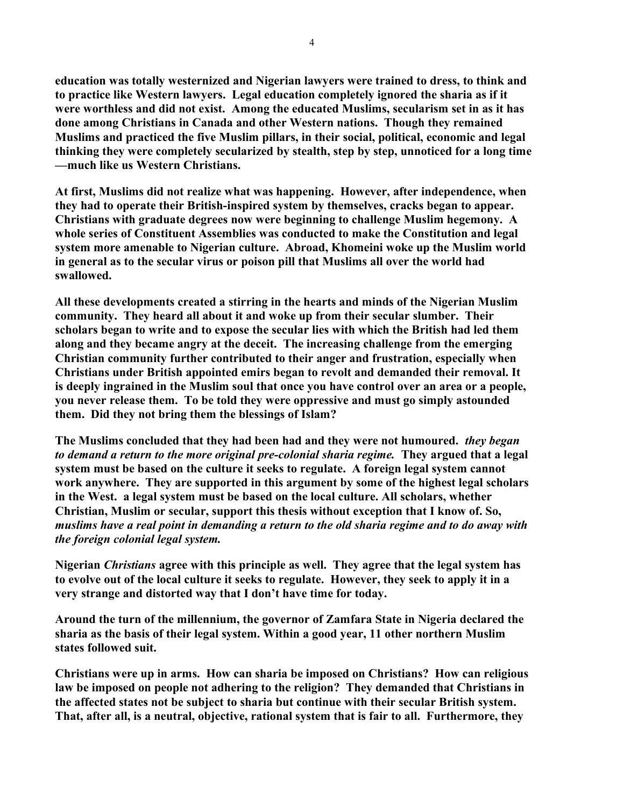**education was totally westernized and Nigerian lawyers were trained to dress, to think and to practice like Western lawyers. Legal education completely ignored the sharia as if it were worthless and did not exist. Among the educated Muslims, secularism set in as it has done among Christians in Canada and other Western nations. Though they remained Muslims and practiced the five Muslim pillars, in their social, political, economic and legal thinking they were completely secularized by stealth, step by step, unnoticed for a long time —much like us Western Christians.** 

**At first, Muslims did not realize what was happening. However, after independence, when they had to operate their British-inspired system by themselves, cracks began to appear. Christians with graduate degrees now were beginning to challenge Muslim hegemony. A whole series of Constituent Assemblies was conducted to make the Constitution and legal system more amenable to Nigerian culture. Abroad, Khomeini woke up the Muslim world in general as to the secular virus or poison pill that Muslims all over the world had swallowed.** 

**All these developments created a stirring in the hearts and minds of the Nigerian Muslim community. They heard all about it and woke up from their secular slumber. Their scholars began to write and to expose the secular lies with which the British had led them along and they became angry at the deceit. The increasing challenge from the emerging Christian community further contributed to their anger and frustration, especially when Christians under British appointed emirs began to revolt and demanded their removal. It is deeply ingrained in the Muslim soul that once you have control over an area or a people, you never release them. To be told they were oppressive and must go simply astounded them. Did they not bring them the blessings of Islam?** 

**The Muslims concluded that they had been had and they were not humoured.** *they began to demand a return to the more original pre-colonial sharia regime.* **They argued that a legal system must be based on the culture it seeks to regulate. A foreign legal system cannot work anywhere. They are supported in this argument by some of the highest legal scholars in the West. a legal system must be based on the local culture. All scholars, whether Christian, Muslim or secular, support this thesis without exception that I know of. So,**  *muslims have a real point in demanding a return to the old sharia regime and to do away with the foreign colonial legal system.*

**Nigerian** *Christians* **agree with this principle as well. They agree that the legal system has to evolve out of the local culture it seeks to regulate. However, they seek to apply it in a very strange and distorted way that I don't have time for today.**

**Around the turn of the millennium, the governor of Zamfara State in Nigeria declared the sharia as the basis of their legal system. Within a good year, 11 other northern Muslim states followed suit.** 

**Christians were up in arms. How can sharia be imposed on Christians? How can religious law be imposed on people not adhering to the religion? They demanded that Christians in the affected states not be subject to sharia but continue with their secular British system. That, after all, is a neutral, objective, rational system that is fair to all. Furthermore, they**